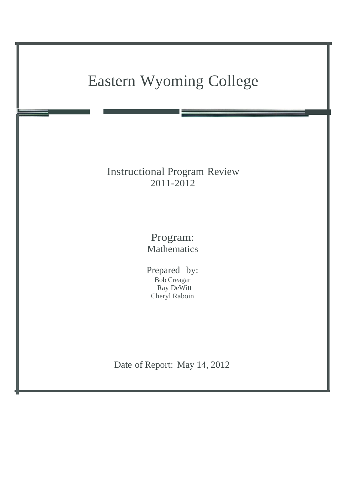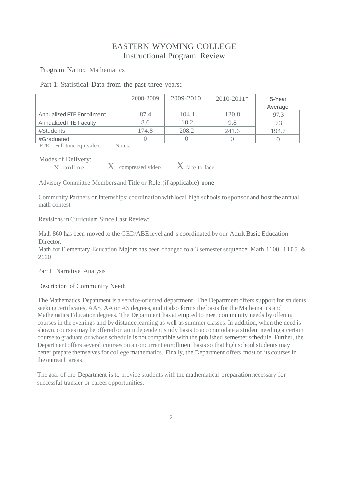# EASTERN WYOMING COLLEGE Instructional Program Review

Program Name: Mathematics

Part 1: Statistical Data from the past three years:

|                               | 2008-2009 | 2009-2010 | $2010 - 2011*$ | 5-Year  |
|-------------------------------|-----------|-----------|----------------|---------|
|                               |           |           |                | Average |
| Annualized FTE Enrollment     | 87.4      | 104.1     | 120.8          | 97.3    |
| <b>Annualized FTE Faculty</b> | 8.6       | 10.2      | 9.8            | 93      |
| #Students                     | 174.8     | 208.2     | 241.6          | 194.7   |
| #Graduated                    |           |           |                |         |

 $\overline{FTE}$  = Full-tune equivalent Notes:

Modes of Delivery:

 $\overline{X}$  online  $\overline{X}$  compressed video  $\overline{X}$  face-to-face

Advisory Committee Members and Title or Role:(if applicable) none

Community Partners or Internships: coordination with local high schools to sponsor and host the annual math contest

Revisions inCurriculum Since Last Review:

Math 860 has been moved to the GED/ABElevel and is coordinated by our Adult Basic Education Director.

Math for Elementary Education Majors has been changed to a 3 semester sequence: Math 1100, 1105, & 2120

# Part II Narrative Analysis

# Description of Community Need:

The Mathematics Department is a service-oriented department. The Department offers support for students seeking certificates, AAS, AA or AS degrees, and it also forms the basis for the Mathematics and Mathematics Education degrees. The Department has attempted to meet community needs by offering courses in the evenings and by distance learning as well assummer classes. In addition, when the need is shown, courses may be offered on an independent study basis to accommodate a student needing a certain course to graduate or whose schedule is not compatible with the published semester schedule. Further, the Department offers several courses on a concurrent enrollment basis so that high school students may better prepare themselves for college mathematics. Finally, the Department offers most of its courses in the outreach areas.

The goal of the Department is to provide students with the mathematical preparation necessary for successful transfer or career opportunities.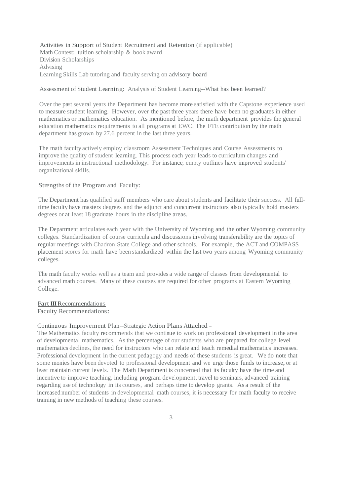Activities in Support of Student Recruitment and Retention (if applicable) Math Contest: tuition scholarship & book award Division Scholarships Advising Learning Skills Lab tutoring and faculty serving on advisory board

### Assessment of Student Learning: Analysis of Student Learning--What has been learned?

Over the past several years the Department has become more satisfied with the Capstone experience used to measure student learning. However, over the past three years there have been no graduates in either mathematics or mathematics education. As mentioned before, the math department provides the general education mathematics requirements to all programs at EWC. The FTE contribution by the math department has grown by 27.6 percent in the last three years.

The math faculty actively employ classroom Assessment Techniques and Course Assessments to improve the quality of student learning. This process each year leads to curriculum changes and improvements in instructional methodology. For instance, empty outlines have improved students' organizational skills.

### Strengths of the Program and Faculty:

The Department has qualified staff members who care about students and facilitate their success. All fulltime faculty have masters degrees and the adjunct and concurrent instructors also typically hold masters degrees or at least 18 graduate hours in the discipline areas.

The Department articulates each year with the University of Wyoming and the other Wyoming community colleges. Standardization of course curricula and discussions involving transferability are the topics of regular meetings with Chadron State College and other schools. For example, the ACT and COMPASS placement scores for math have been standardized within the last two years among Wyoming community colleges.

The math faculty works well as a team and provides a wide range of classes from developmental to advanced math courses. Many of these courses are required for other programs at Eastern Wyoming College.

#### Part III Recommendations

Faculty Recommendations:

### Continuous Improvement Plan--Strategic Action Plans Attached -

The Mathematics faculty recommends that we continue to work on professional development in the area of developmental mathematics. As the percentage of our students who are prepared for college level mathematics declines, the need for instructors who can relate and teach remedial mathematics increases. Professional development in the current pedagogy and needs of these students is great. We do note that some monies have been devoted to professional development and we urge those funds to increase, or at least maintain current levels. The Math Department is concerned that its faculty have the time and incentive to improve teaching, including program development, travel to seminars, advanced training regarding use of technology in its courses, and perhaps time to develop grants. As a result of the increased number of students in developmental math courses, it is necessary for math faculty to receive training in new methods of teaching these courses.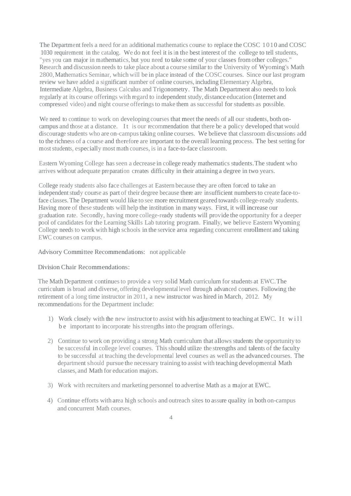The Department feels a need for an additional mathematics course to replace the COSC 1010 and COSC 1030 requirement in the catalog. We do not feel it is in the best interest of the college to tell students, "yes you can major in mathematics, but you need to take some of your classes fromother colleges." Research and discussion needs to take place about a course similar to the University of Wyoming's Math 2800, Mathematics Seminar, which will be in place instead of the COSC courses. Since our last program review we have added a significant number of online courses, including Elementary Algebra, Intermediate Algebra, Business Calculus and Trigonometry. The Math Department also needs to look regularly at its course offerings with regard to independent study, distance education (Internet and compressed video) and night course offerings to make them as successful for students as possible.

We need to continue to work on developing courses that meet the needs of all our students, both oncampus and those at a distance. It is our recommendation that there be a policy developed that would discourage students who are on-campustaking online courses. We believe that classroom discussions add to the richness of a course and therefore are important to the overall learning process. The best setting for most students, especially most math courses, is in a face-to-face classroom.

Eastern Wyoming College hasseen a decrease in college ready mathematics students.The student who arrives without adequate preparation creates difficulty in their attaining a degree in two years.

College ready students also face challenges at Eastern because they are often forced to take an independent study course as part of their degree because there are insufficient numbers to create face-toface classes.The Department would like to see more recruitment geared towards college-ready students. Having more of these students will help the institution in many ways. First, it will increase our graduation rate. Secondly, having more college-ready students will provide the opportunity for a deeper pool of candidates for the Learning Skills Lab tutoring program. Finally, we believe Eastern Wyoming College needs to work with high schools in the service area regarding concurrent enrollment and taking EWC courses on campus.

# Advisory Committee Recommendations: not applicable

# Division Chair Recommendations:

The Math Department continuesto provide a very solid Math curriculum for students at EWC.The curriculum is broad and diverse, offering developmental level through advanced courses. Following the retirement of a long time instructor in 2011, a new instructor was hired in March, 2012. My recommendations for the Department include:

- 1) Work closely with the new instructor to assist with his adjustment to teaching at EWC. It will be important to incorporate hisstrengths into the program offerings.
- 2) Continue to work on providing a strong Math curriculum that allows students the opportunity to be successful in college level courses. This should utilize the strengths and talents of the faculty to be successful at teaching the developmental level courses as well as the advanced courses. The department should pursue the necessary training to assist with teaching developmental Math classes, and Math for education majors.
- 3) Work with recruiters and marketing personnel to advertise Math as <sup>a</sup> major at EWC.
- 4) Continue efforts with area high schools and outreach sites to assure quality in both on-campus and concurrent Math courses.